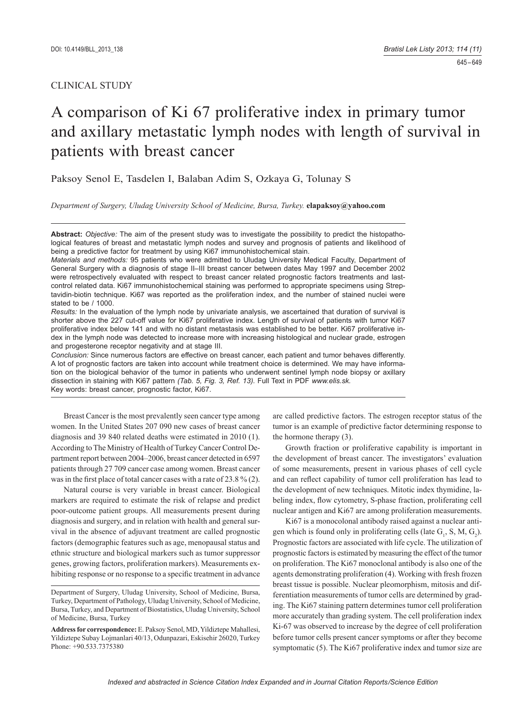# CLINICAL STUDY

# A comparison of Ki 67 proliferative index in primary tumor and axillary metastatic lymph nodes with length of survival in patients with breast cancer

Paksoy Senol E, Tasdelen I, Balaban Adim S, Ozkaya G, Tolunay S

*Department of Surgery, Uludag University School of Medicine, Bursa, Turkey.* **elapaksoy@yahoo.com**

**Abstract:** *Objective:* The aim of the present study was to investigate the possibility to predict the histopathological features of breast and metastatic lymph nodes and survey and prognosis of patients and likelihood of being a predictive factor for treatment by using Ki67 immunohistochemical stain.

*Materials and methods:* 95 patients who were admitted to Uludag University Medical Faculty, Department of General Surgery with a diagnosis of stage II–III breast cancer between dates May 1997 and December 2002 were retrospectively evaluated with respect to breast cancer related prognostic factors treatments and lastcontrol related data. Ki67 immunohistochemical staining was performed to appropriate specimens using Streptavidin-biotin technique. Ki67 was reported as the proliferation index, and the number of stained nuclei were stated to be / 1000.

*Results:* In the evaluation of the lymph node by univariate analysis, we ascertained that duration of survival is shorter above the 227 cut-off value for Ki67 proliferative index. Length of survival of patients with tumor Ki67 proliferative index below 141 and with no distant metastasis was established to be better. Ki67 proliferative index in the lymph node was detected to increase more with increasing histological and nuclear grade, estrogen and progesterone receptor negativity and at stage III.

*Conclusion:* Since numerous factors are effective on breast cancer, each patient and tumor behaves differently. A lot of prognostic factors are taken into account while treatment choice is determined. We may have information on the biological behavior of the tumor in patients who underwent sentinel lymph node biopsy or axillary dissection in staining with Ki67 pattern *(Tab. 5, Fig. 3, Ref. 13).* Full Text in PDF *www.elis.sk.* Key words: breast cancer, prognostic factor, Ki67.

Breast Cancer is the most prevalently seen cancer type among women. In the United States 207 090 new cases of breast cancer diagnosis and 39 840 related deaths were estimated in 2010 (1). According to The Ministry of Health of Turkey Cancer Control Department report between 2004–2006, breast cancer detected in 6597 patients through 27 709 cancer case among women. Breast cancer was in the first place of total cancer cases with a rate of  $23.8\%$  (2).

Natural course is very variable in breast cancer. Biological markers are required to estimate the risk of relapse and predict poor-outcome patient groups. All measurements present during diagnosis and surgery, and in relation with health and general survival in the absence of adjuvant treatment are called prognostic factors (demographic features such as age, menopausal status and ethnic structure and biological markers such as tumor suppressor genes, growing factors, proliferation markers). Measurements exhibiting response or no response to a specific treatment in advance

are called predictive factors. The estrogen receptor status of the tumor is an example of predictive factor determining response to the hormone therapy (3).

Growth fraction or proliferative capability is important in the development of breast cancer. The investigators' evaluation of some measurements, present in various phases of cell cycle and can reflect capability of tumor cell proliferation has lead to the development of new techniques. Mitotic index thymidine, labeling index, flow cytometry, S-phase fraction, proliferating cell nuclear antigen and Ki67 are among proliferation measurements.

Ki67 is a monocolonal antibody raised against a nuclear antigen which is found only in proliferating cells (late  $G_1$ , S, M,  $G_2$ ). Prognostic factors are associated with life cycle. The utilization of prognostic factors is estimated by measuring the effect of the tumor on proliferation. The Ki67 monoclonal antibody is also one of the agents demonstrating proliferation (4). Working with fresh frozen breast tissue is possible. Nuclear pleomorphism, mitosis and differentiation measurements of tumor cells are determined by grading. The Ki67 staining pattern determines tumor cell proliferation more accurately than grading system. The cell proliferation index Ki-67 was observed to increase by the degree of cell proliferation before tumor cells present cancer symptoms or after they become symptomatic (5). The Ki67 proliferative index and tumor size are

Department of Surgery, Uludag University, School of Medicine, Bursa, Turkey, Department of Pathology, Uludag University, School of Medicine, Bursa, Turkey, and Department of Biostatistics, Uludag University, School of Medicine, Bursa, Turkey

**Address for correspondence:** E. Paksoy Senol, MD, Yildiztepe Mahallesi, Yildiztepe Subay Lojmanlari 40/13, Odunpazari, Eskisehir 26020, Turkey Phone: +90.533.7375380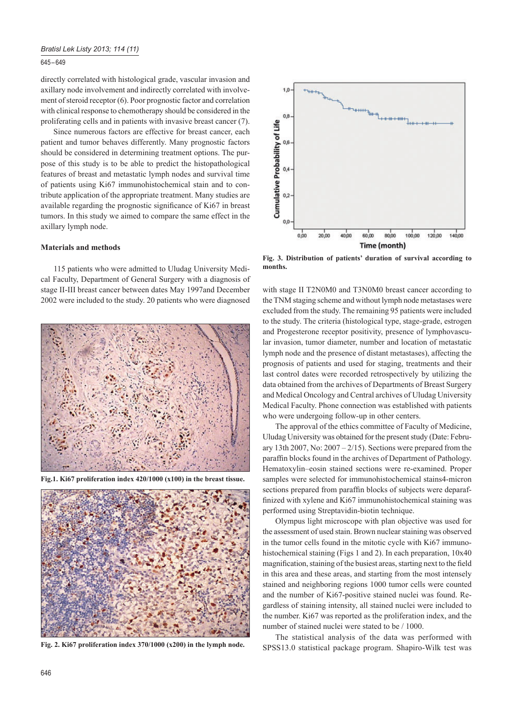## 645 – 649

directly correlated with histological grade, vascular invasion and axillary node involvement and indirectly correlated with involvement of steroid receptor (6). Poor prognostic factor and correlation with clinical response to chemotherapy should be considered in the proliferating cells and in patients with invasive breast cancer (7).

Since numerous factors are effective for breast cancer, each patient and tumor behaves differently. Many prognostic factors should be considered in determining treatment options. The purpose of this study is to be able to predict the histopathological features of breast and metastatic lymph nodes and survival time of patients using Ki67 immunohistochemical stain and to contribute application of the appropriate treatment. Many studies are available regarding the prognostic significance of Ki67 in breast tumors. In this study we aimed to compare the same effect in the axillary lymph node.

# **Materials and methods**

115 patients who were admitted to Uludag University Medical Faculty, Department of General Surgery with a diagnosis of stage II-III breast cancer between dates May 1997and December 2002 were included to the study. 20 patients who were diagnosed



**Fig.1. Ki67 proliferation index 420/1000 (x100) in the breast tissue.**



**Fig. 2. Ki67 proliferation index 370/1000 (x200) in the lymph node.**



**Fig. 3. Distribution of patients' duration of survival according to months.**

with stage II T2N0M0 and T3N0M0 breast cancer according to the TNM staging scheme and without lymph node metastases were excluded from the study. The remaining 95 patients were included to the study. The criteria (histological type, stage-grade, estrogen and Progesterone receptor positivity, presence of lymphovascular invasion, tumor diameter, number and location of metastatic lymph node and the presence of distant metastases), affecting the prognosis of patients and used for staging, treatments and their last control dates were recorded retrospectively by utilizing the data obtained from the archives of Departments of Breast Surgery and Medical Oncology and Central archives of Uludag University Medical Faculty. Phone connection was established with patients who were undergoing follow-up in other centers.

The approval of the ethics committee of Faculty of Medicine, Uludag University was obtained for the present study (Date: February 13th 2007, No:  $2007 - 2/15$ ). Sections were prepared from the paraffin blocks found in the archives of Department of Pathology. Hematoxylin–eosin stained sections were re-examined. Proper samples were selected for immunohistochemical stains4-micron sections prepared from paraffin blocks of subjects were deparaffinized with xylene and Ki67 immunohistochemical staining was performed using Streptavidin-biotin technique.

Olympus light microscope with plan objective was used for the assessment of used stain. Brown nuclear staining was observed in the tumor cells found in the mitotic cycle with Ki67 immunohistochemical staining (Figs 1 and 2). In each preparation,  $10x40$ magnification, staining of the busiest areas, starting next to the field in this area and these areas, and starting from the most intensely stained and neighboring regions 1000 tumor cells were counted and the number of Ki67-positive stained nuclei was found. Regardless of staining intensity, all stained nuclei were included to the number. Ki67 was reported as the proliferation index, and the number of stained nuclei were stated to be / 1000.

The statistical analysis of the data was performed with SPSS13.0 statistical package program. Shapiro-Wilk test was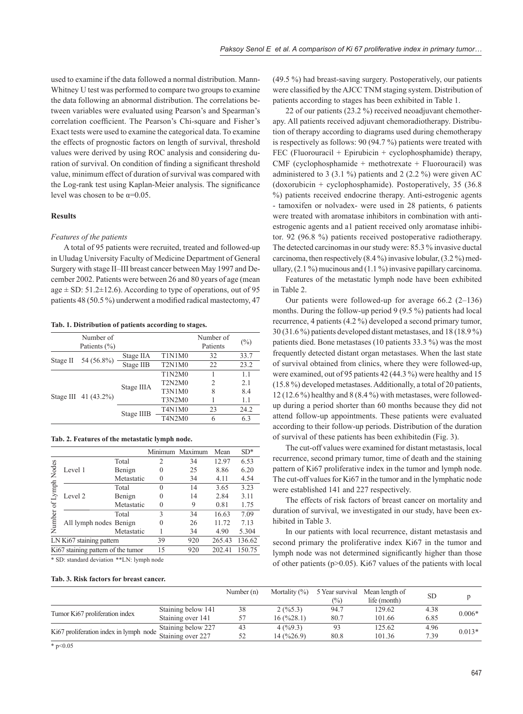used to examine if the data followed a normal distribution. Mann-Whitney U test was performed to compare two groups to examine the data following an abnormal distribution. The correlations between variables were evaluated using Pearson's and Spearman's correlation coefficient. The Pearson's Chi-square and Fisher's Exact tests were used to examine the categorical data. To examine the effects of prognostic factors on length of survival, threshold values were derived by using ROC analysis and considering duration of survival. On condition of finding a significant threshold value, minimum effect of duration of survival was compared with the Log-rank test using Kaplan-Meier analysis. The significance level was chosen to be  $\alpha$ =0.05.

## **Results**

#### *Features of the patients*

A total of 95 patients were recruited, treated and followed-up in Uludag University Faculty of Medicine Department of General Surgery with stage II–III breast cancer between May 1997 and December 2002. Patients were between 26 and 80 years of age (mean age  $\pm$  SD: 51.2 $\pm$ 12.6). According to type of operations, out of 95 patients 48 (50.5 %) underwent a modified radical mastectomy, 47

| Tab. 1. Distribution of patients according to stages. |  |  |
|-------------------------------------------------------|--|--|
|-------------------------------------------------------|--|--|

|          | Number of<br>Patients $(\% )$ |            |                                              | Number of<br>Patients | $(\%)$ |
|----------|-------------------------------|------------|----------------------------------------------|-----------------------|--------|
|          | 54 (56.8%)                    | Stage IIA  | T1N1M0                                       | 32                    | 33.7   |
| Stage II |                               | Stage IIB  | T <sub>2</sub> N <sub>1</sub> M <sub>0</sub> | 22                    | 23.2   |
|          | Stage III 41 (43.2%)          | Stage IIIA | T1N2M0                                       |                       | 1.1    |
|          |                               |            | T2N2M0                                       | 2                     | 2.1    |
|          |                               |            | <b>T3N1M0</b>                                | 8                     | 8.4    |
|          |                               |            | T3N2M0                                       |                       | 1.1    |
|          |                               | Stage IIIB | T4N1M0                                       | 23                    | 24.2   |
|          |                               |            | T4N2M0                                       | 6                     | 6.3    |

|  |  | Tab. 2. Features of the metastatic lymph node. |  |
|--|--|------------------------------------------------|--|
|  |  |                                                |  |

|                                    |                        |            |          | Minimum Maximum | Mean   | $SD*$ |
|------------------------------------|------------------------|------------|----------|-----------------|--------|-------|
|                                    |                        | Total      | 2        | 34              | 12.97  | 6.53  |
| Nodes                              | Level 1                | Benign     | 0        | 25              | 8.86   | 6.20  |
|                                    |                        | Metastatic |          | 34              | 4.11   | 4.54  |
| Apply                              |                        | Total      | 0        | 14              | 3.65   | 3.23  |
|                                    | Level 2                | Benign     |          | 14              | 2.84   | 3.11  |
| $\mathfrak{g}$                     |                        | Metastatic | $\Omega$ | 9               | 0.81   | 1.75  |
|                                    |                        | Total      | 3        | 34              | 16.63  | 7.09  |
| Number                             | All lymph nodes Benign |            |          | 26              | 11.72  | 7.13  |
|                                    |                        | Metastatic |          | 34              | 4.90   | 5.304 |
| LN Ki67 staining pattern           |                        | 39         | 920      | 265.43          | 136.62 |       |
| Ki67 staining pattern of the tumor |                        | 15         | 920      | 202.41          | 150.75 |       |

\* SD: standard deviation \*\*LN: lymph node

#### **Tab. 3. Risk factors for breast cancer.**

(49.5 %) had breast-saving surgery. Postoperatively, our patients were classified by the AJCC TNM staging system. Distribution of patients according to stages has been exhibited in Table 1.

22 of our patients (23.2 %) received neoadjuvant chemotherapy. All patients received adjuvant chemoradiotherapy. Distribution of therapy according to diagrams used during chemotherapy is respectively as follows: 90 (94.7 %) patients were treated with FEC (Fluorouracil + Epirubicin + cyclophosphamide) therapy, CMF (cyclophosphamide + methotrexate + Fluorouracil) was administered to 3 (3.1 %) patients and 2 (2.2 %) were given AC (doxorubicin + cyclophosphamide). Postoperatively, 35 (36.8 %) patients received endocrine therapy. Anti-estrogenic agents - tamoxifen or nolvadex- were used in 28 patients, 6 patients were treated with aromatase inhibitors in combination with antiestrogenic agents and a1 patient received only aromatase inhibitor. 92 (96.8 %) patients received postoperative radiotherapy. The detected carcinomas in our study were: 85.3 % invasive ductal carcinoma, then respectively (8.4 %) invasive lobular, (3.2 %) medullary,  $(2.1\%)$  mucinous and  $(1.1\%)$  invasive papillary carcinoma.

Features of the metastatic lymph node have been exhibited in Table 2.

Our patients were followed-up for average  $66.2$   $(2-136)$ months. During the follow-up period 9 (9.5 %) patients had local recurrence, 4 patients (4.2 %) developed a second primary tumor, 30 (31.6 %) patients developed distant metastases, and 18 (18.9 %) patients died. Bone metastases (10 patients 33.3 %) was the most frequently detected distant organ metastases. When the last state of survival obtained from clinics, where they were followed-up, were examined, out of 95 patients 42 (44.3 %) were healthy and 15 (15.8 %) developed metastases. Additionally, a total of 20 patients, 12 (12.6 %) healthy and 8 (8.4 %) with metastases, were followedup during a period shorter than 60 months because they did not attend follow-up appointments. These patients were evaluated according to their follow-up periods. Distribution of the duration of survival of these patients has been exhibitedin (Fig. 3).

The cut-off values were examined for distant metastasis, local recurrence, second primary tumor, time of death and the staining pattern of Ki67 proliferative index in the tumor and lymph node. The cut-off values for Ki67 in the tumor and in the lymphatic node were established 141 and 227 respectively.

The effects of risk factors of breast cancer on mortality and duration of survival, we investigated in our study, have been exhibited in Table 3.

In our patients with local recurrence, distant metastasis and second primary the proliferative index Ki67 in the tumor and lymph node was not determined significantly higher than those of other patients ( $p$ >0.05). Ki67 values of the patients with local

|                                        |                    | Number $(n)$ | Mortality $(\%)$                   | 5 Year survival | Mean length of | <b>SD</b> |          |
|----------------------------------------|--------------------|--------------|------------------------------------|-----------------|----------------|-----------|----------|
|                                        |                    |              |                                    | $\binom{0}{0}$  | life (month)   |           |          |
|                                        | Staining below 141 | 38           | 2(%5.3)                            | 94.7            | 129.62         | 4.38      | $0.006*$ |
| Tumor Ki67 proliferation index         | Staining over 141  |              | $16 \left( \frac{9}{28.1} \right)$ | 80.7            | 101.66         | 6.85      |          |
|                                        | Staining below 227 | 43           | 4(%9.3)                            |                 | 125.62         | 4.96      | $0.013*$ |
| Ki67 proliferation index in lymph node | Staining over 227  | 52           | 14(%26.9)                          | 80.8            | 101.36         | 7.39      |          |
| $*$ n $< 0.05$                         |                    |              |                                    |                 |                |           |          |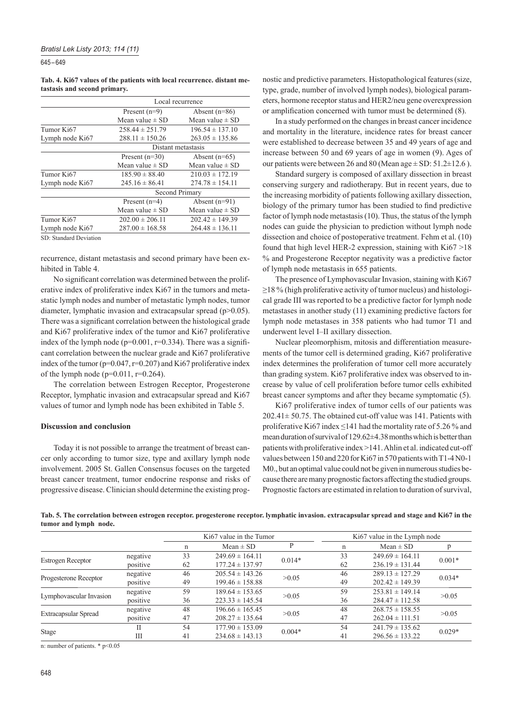645 – 649

### **Tab. 4. Ki67 values of the patients with local recurrence. distant metastasis and second primary.**

|                 | Local recurrence    |                     |  |  |  |
|-----------------|---------------------|---------------------|--|--|--|
|                 | Present $(n=9)$     | Absent $(n=86)$     |  |  |  |
|                 | Mean value $\pm$ SD | Mean value $\pm$ SD |  |  |  |
| Tumor Ki67      | $258.44 \pm 251.79$ | $196.54 \pm 137.10$ |  |  |  |
| Lymph node Ki67 | $288.11 \pm 150.26$ | $263.05 \pm 135.86$ |  |  |  |
|                 | Distant metastasis  |                     |  |  |  |
|                 | Present $(n=30)$    | Absent $(n=65)$     |  |  |  |
|                 | Mean value $\pm$ SD | Mean value $\pm$ SD |  |  |  |
| Tumor Ki67      | $185.90 \pm 88.40$  | $210.03 \pm 172.19$ |  |  |  |
| Lymph node Ki67 | $245.16 \pm 86.41$  | $274.78 \pm 154.11$ |  |  |  |
|                 | Second Primary      |                     |  |  |  |
|                 | Present $(n=4)$     | Absent $(n=91)$     |  |  |  |
|                 | Mean value $\pm$ SD | Mean value $\pm$ SD |  |  |  |
| Tumor Ki67      | $202.00 \pm 206.11$ | $202.42 \pm 149.39$ |  |  |  |
| Lymph node Ki67 | $287.00 \pm 168.58$ | $264.48 \pm 136.11$ |  |  |  |
|                 |                     |                     |  |  |  |

SD: Standard Deviation

recurrence, distant metastasis and second primary have been exhibited in Table 4.

No significant correlation was determined between the proliferative index of proliferative index Ki67 in the tumors and metastatic lymph nodes and number of metastatic lymph nodes, tumor diameter, lymphatic invasion and extracapsular spread (p>0.05). There was a significant correlation between the histological grade and Ki67 proliferative index of the tumor and Ki67 proliferative index of the lymph node ( $p=0.001$ ,  $r=0.334$ ). There was a significant correlation between the nuclear grade and Ki67 proliferative index of the tumor (p=0.047, r=0.207) and Ki67 proliferative index of the lymph node (p=0.011, r=0.264).

The correlation between Estrogen Receptor, Progesterone Receptor, lymphatic invasion and extracapsular spread and Ki67 values of tumor and lymph node has been exhibited in Table 5.

## **Discussion and conclusion**

Today it is not possible to arrange the treatment of breast cancer only according to tumor size, type and axillary lymph node involvement. 2005 St. Gallen Consensus focuses on the targeted breast cancer treatment, tumor endocrine response and risks of progressive disease. Clinician should determine the existing prognostic and predictive parameters. Histopathological features (size, type, grade, number of involved lymph nodes), biological parameters, hormone receptor status and HER2/neu gene overexpression or amplification concerned with tumor must be determined (8).

In a study performed on the changes in breast cancer incidence and mortality in the literature, incidence rates for breast cancer were established to decrease between 35 and 49 years of age and increase between 50 and 69 years of age in women (9). Ages of our patients were between 26 and 80 (Mean age  $\pm$  SD: 51.2 $\pm$ 12.6).

Standard surgery is composed of axillary dissection in breast conserving surgery and radiotherapy. But in recent years, due to the increasing morbidity of patients following axillary dissection, biology of the primary tumor has been studied to find predictive factor of lymph node metastasis (10). Thus, the status of the lymph nodes can guide the physician to prediction without lymph node dissection and choice of postoperative treatment. Fehm et al. (10) found that high level HER-2 expression, staining with Ki67 >18 % and Progesterone Receptor negativity was a predictive factor of lymph node metastasis in 655 patients.

The presence of Lymphovascular Invasion, staining with Ki67  $\geq$ 18 % (high proliferative activity of tumor nucleus) and histological grade III was reported to be a predictive factor for lymph node metastases in another study (11) examining predictive factors for lymph node metastases in 358 patients who had tumor T1 and underwent level I–II axillary dissection.

Nuclear pleomorphism, mitosis and differentiation measurements of the tumor cell is determined grading, Ki67 proliferative index determines the proliferation of tumor cell more accurately than grading system. Ki67 proliferative index was observed to increase by value of cell proliferation before tumor cells exhibited breast cancer symptoms and after they became symptomatic (5).

Ki67 proliferative index of tumor cells of our patients was 202.41± 50.75. The obtained cut-off value was 141. Patients with proliferative Ki67 index  $\leq$ 141 had the mortality rate of 5.26 % and mean duration of survival of 129.62±4.38 months which is better than patients with proliferative index >141. Ahlin et al. indicated cut-off values between 150 and 220 for Ki67 in 570 patients with T1-4 N0-1 M0., but an optimal value could not be given in numerous studies because there are many prognostic factors affecting the studied groups. Prognostic factors are estimated in relation to duration of survival,

**Tab. 5. The correlation between estrogen receptor. progesterone receptor. lymphatic invasion. extracapsular spread and stage and Ki67 in the tumor and lymph node.**

|                          |          | Ki67 value in the Tumor |                     |          |    | Ki67 value in the Lymph node |          |  |  |
|--------------------------|----------|-------------------------|---------------------|----------|----|------------------------------|----------|--|--|
|                          |          | n                       | $Mean \pm SD$       | P        | n  | $Mean \pm SD$                |          |  |  |
|                          | negative | 33                      | $249.69 \pm 164.11$ | $0.014*$ | 33 | $249.69 \pm 164.11$          | $0.001*$ |  |  |
| <b>Estrogen Receptor</b> | positive | 62                      | $177.24 \pm 137.97$ |          | 62 | $236.19 \pm 131.44$          |          |  |  |
|                          | negative | 46                      | $205.54 \pm 143.26$ | >0.05    | 46 | $289.13 \pm 127.29$          | $0.034*$ |  |  |
| Progesterone Receptor    | positive | 49                      | $199.46 \pm 158.88$ |          | 49 | $202.42 \pm 149.39$          |          |  |  |
| Lymphovascular Invasion  | negative | 59                      | $189.64 \pm 153.65$ | >0.05    | 59 | $253.81 \pm 149.14$          | >0.05    |  |  |
|                          | positive | 36                      | $223.33 \pm 145.54$ |          | 36 | $284.47 \pm 112.58$          |          |  |  |
|                          | negative | 48                      | $196.66 \pm 165.45$ | >0.05    | 48 | $268.75 \pm 158.55$          | >0.05    |  |  |
| Extracapsular Spread     | positive | 47                      | $208.27 \pm 135.64$ |          | 47 | $262.04 \pm 111.51$          |          |  |  |
| Stage                    | П        | 54                      | $177.90 \pm 153.09$ | $0.004*$ | 54 | $241.79 \pm 135.62$          | $0.029*$ |  |  |
|                          | Ш        | 41                      | $234.68 \pm 143.13$ |          | 41 | $296.56 \pm 133.22$          |          |  |  |

n: number of patients. \* p<0.05